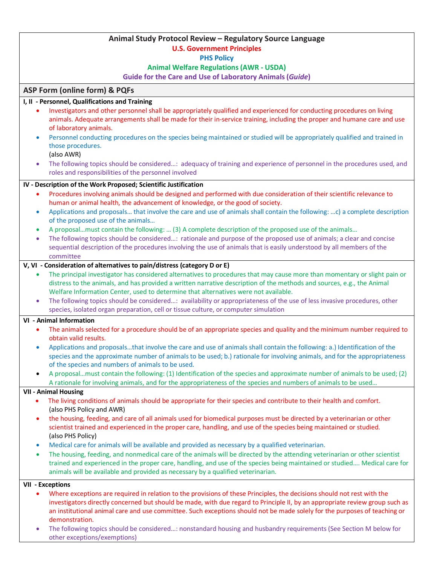# **Animal Study Protocol Review – Regulatory Source Language U.S. Government Principles PHS Policy Animal Welfare Regulations (AWR - USDA) Guide for the Care and Use of Laboratory Animals (***Guide***) ASP Form (online form) & PQFs I, II - Personnel, Qualifications and Training** • Investigators and other personnel shall be appropriately qualified and experienced for conducting procedures on living animals. Adequate arrangements shall be made for their in-service training, including the proper and humane care and use of laboratory animals. • Personnel conducting procedures on the species being maintained or studied will be appropriately qualified and trained in those procedures. (also AWR) • The following topics should be considered…: adequacy of training and experience of personnel in the procedures used, and roles and responsibilities of the personnel involved **IV - Description of the Work Proposed; Scientific Justification** • Procedures involving animals should be designed and performed with due consideration of their scientific relevance to human or animal health, the advancement of knowledge, or the good of society. • Applications and proposals… that involve the care and use of animals shall contain the following: …c) a complete description of the proposed use of the animals… • A proposal…must contain the following: … (3) A complete description of the proposed use of the animals… • The following topics should be considered…: rationale and purpose of the proposed use of animals; a clear and concise sequential description of the procedures involving the use of animals that is easily understood by all members of the committee **V, VI - Consideration of alternatives to pain/distress (category D or E)** • The principal investigator has considered alternatives to procedures that may cause more than momentary or slight pain or distress to the animals, and has provided a written narrative description of the methods and sources, e.g., the Animal Welfare Information Center, used to determine that alternatives were not available. • The following topics should be considered…: availability or appropriateness of the use of less invasive procedures, other species, isolated organ preparation, cell or tissue culture, or computer simulation **VI - Animal Information** • The animals selected for a procedure should be of an appropriate species and quality and the minimum number required to obtain valid results. • Applications and proposals…that involve the care and use of animals shall contain the following: a.) Identification of the species and the approximate number of animals to be used; b.) rationale for involving animals, and for the appropriateness of the species and numbers of animals to be used. • A proposal…must contain the following: (1) Identification of the species and approximate number of animals to be used; (2) A rationale for involving animals, and for the appropriateness of the species and numbers of animals to be used… **VII - Animal Housing** • The living conditions of animals should be appropriate for their species and contribute to their health and comfort. (also PHS Policy and AWR) • the housing, feeding, and care of all animals used for biomedical purposes must be directed by a veterinarian or other scientist trained and experienced in the proper care, handling, and use of the species being maintained or studied. (also PHS Policy) • Medical care for animals will be available and provided as necessary by a qualified veterinarian. • The housing, feeding, and nonmedical care of the animals will be directed by the attending veterinarian or other scientist trained and experienced in the proper care, handling, and use of the species being maintained or studied…. Medical care for animals will be available and provided as necessary by a qualified veterinarian. **VII - Exceptions** • Where exceptions are required in relation to the provisions of these Principles, the decisions should not rest with the investigators directly concerned but should be made, with due regard to Principle II, by an appropriate review group such as an institutional animal care and use committee. Such exceptions should not be made solely for the purposes of teaching or demonstration. • The following topics should be considered…: nonstandard housing and husbandry requirements (See Section M below for other exceptions/exemptions)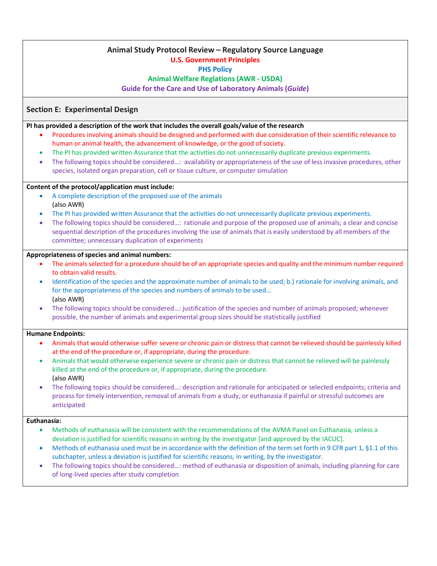# **Animal Study Protocol Review – Regulatory Source Language**

### **U.S. Government Principles**

**PHS Policy**

**Animal Welfare Reglations (AWR - USDA)**

**Guide for the Care and Use of Laboratory Animals (***Guide***)**

### **Section E: Experimental Design**

**PI has provided a description of the work that includes the overall goals/value of the research** 

- Procedures involving animals should be designed and performed with due consideration of their scientific relevance to human or animal health, the advancement of knowledge, or the good of society.
- The PI has provided written Assurance that the activities do not unnecessarily duplicate previous experiments.
- The following topics should be considered…: availability or appropriateness of the use of less invasive procedures, other species, isolated organ preparation, cell or tissue culture, or computer simulation

### **Content of the protocol/application must include:**

- A complete description of the proposed use of the animals (also AWR)
- The PI has provided written Assurance that the activities do not unnecessarily duplicate previous experiments.
- The following topics should be considered…: rationale and purpose of the proposed use of animals; a clear and concise sequential description of the procedures involving the use of animals that is easily understood by all members of the committee; unnecessary duplication of experiments

### **Appropriateness of species and animal numbers:**

- The animals selected for a procedure should be of an appropriate species and quality and the minimum number required to obtain valid results.
- Identification of the species and the approximate number of animals to be used; b.) rationale for involving animals, and for the appropriateness of the species and numbers of animals to be used… (also AWR)
- The following topics should be considered…: justification of the species and number of animals proposed; whenever possible, the number of animals and experimental group sizes should be statistically justified

### **Humane Endpoints:**

- Animals that would otherwise suffer severe or chronic pain or distress that cannot be relieved should be painlessly killed at the end of the procedure or, if appropriate, during the procedure.
- Animals that would otherwise experience severe or chronic pain or distress that cannot be relieved will be painlessly killed at the end of the procedure or, if appropriate, during the procedure. (also AWR)
- The following topics should be considered…: description and rationale for anticipated or selected endpoints; criteria and process for timely intervention, removal of animals from a study, or euthanasia if painful or stressful outcomes are anticipated

### **Euthanasia:**

- Methods of euthanasia will be consistent with the recommendations of the AVMA Panel on Euthanasia, unless a deviation is justified for scientific reasons in writing by the investigator [and approved by the IACUC].
- Methods of euthanasia used must be in accordance with the definition of the term set forth in 9 CFR part 1, §1.1 of this subchapter, unless a deviation is justified for scientific reasons, in writing, by the investigator.
- The following topics should be considered…: method of euthanasia or disposition of animals, including planning for care of long-lived species after study completion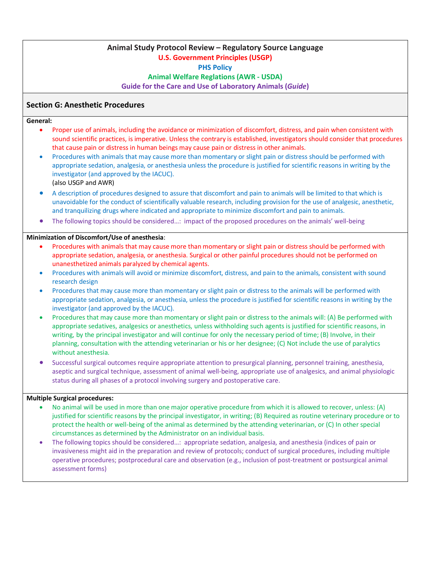# **Animal Study Protocol Review – Regulatory Source Language U.S. Government Principles (USGP) PHS Policy Animal Welfare Reglations (AWR - USDA) Guide for the Care and Use of Laboratory Animals (***Guide***)**

### **Section G: Anesthetic Procedures**

#### **General:**

- Proper use of animals, including the avoidance or minimization of discomfort, distress, and pain when consistent with sound scientific practices, is imperative. Unless the contrary is established, investigators should consider that procedures that cause pain or distress in human beings may cause pain or distress in other animals.
- Procedures with animals that may cause more than momentary or slight pain or distress should be performed with appropriate sedation, analgesia, or anesthesia unless the procedure is justified for scientific reasons in writing by the investigator (and approved by the IACUC). (also USGP and AWR)
- A description of procedures designed to assure that discomfort and pain to animals will be limited to that which is unavoidable for the conduct of scientifically valuable research, including provision for the use of analgesic, anesthetic, and tranquilizing drugs where indicated and appropriate to minimize discomfort and pain to animals.
- The following topics should be considered…: impact of the proposed procedures on the animals' well-being

#### **Minimization of Discomfort/Use of anesthesia**:

- Procedures with animals that may cause more than momentary or slight pain or distress should be performed with appropriate sedation, analgesia, or anesthesia. Surgical or other painful procedures should not be performed on unanesthetized animals paralyzed by chemical agents.
- Procedures with animals will avoid or minimize discomfort, distress, and pain to the animals, consistent with sound research design
- Procedures that may cause more than momentary or slight pain or distress to the animals will be performed with appropriate sedation, analgesia, or anesthesia, unless the procedure is justified for scientific reasons in writing by the investigator (and approved by the IACUC).
- Procedures that may cause more than momentary or slight pain or distress to the animals will: (A) Be performed with appropriate sedatives, analgesics or anesthetics, unless withholding such agents is justified for scientific reasons, in writing, by the principal investigator and will continue for only the necessary period of time; (B) Involve, in their planning, consultation with the attending veterinarian or his or her designee; (C) Not include the use of paralytics without anesthesia.
- Successful surgical outcomes require appropriate attention to presurgical planning, personnel training, anesthesia, aseptic and surgical technique, assessment of animal well-being, appropriate use of analgesics, and animal physiologic status during all phases of a protocol involving surgery and postoperative care.

### **Multiple Surgical procedures:**

- No animal will be used in more than one major operative procedure from which it is allowed to recover, unless: (A) justified for scientific reasons by the principal investigator, in writing; (B) Required as routine veterinary procedure or to protect the health or well-being of the animal as determined by the attending veterinarian, or (C) In other special circumstances as determined by the Administrator on an individual basis.
- The following topics should be considered…: appropriate sedation, analgesia, and anesthesia (indices of pain or invasiveness might aid in the preparation and review of protocols; conduct of surgical procedures, including multiple operative procedures; postprocedural care and observation (e.g., inclusion of post-treatment or postsurgical animal assessment forms)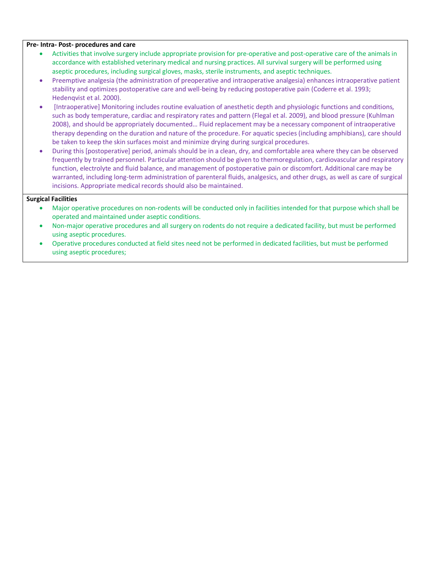#### **Pre- Intra- Post- procedures and care**

- Activities that involve surgery include appropriate provision for pre-operative and post-operative care of the animals in accordance with established veterinary medical and nursing practices. All survival surgery will be performed using aseptic procedures, including surgical gloves, masks, sterile instruments, and aseptic techniques.
- Preemptive analgesia (the administration of preoperative and intraoperative analgesia) enhances intraoperative patient stability and optimizes postoperative care and well-being by reducing postoperative pain (Coderre et al. 1993; Hedenqvist et al. 2000).
- [Intraoperative] Monitoring includes routine evaluation of anesthetic depth and physiologic functions and conditions, such as body temperature, cardiac and respiratory rates and pattern (Flegal et al. 2009), and blood pressure (Kuhlman 2008), and should be appropriately documented… Fluid replacement may be a necessary component of intraoperative therapy depending on the duration and nature of the procedure. For aquatic species (including amphibians), care should be taken to keep the skin surfaces moist and minimize drying during surgical procedures.
- During this [postoperative] period, animals should be in a clean, dry, and comfortable area where they can be observed frequently by trained personnel. Particular attention should be given to thermoregulation, cardiovascular and respiratory function, electrolyte and fluid balance, and management of postoperative pain or discomfort. Additional care may be warranted, including long-term administration of parenteral fluids, analgesics, and other drugs, as well as care of surgical incisions. Appropriate medical records should also be maintained.

#### **Surgical Facilities**

- Major operative procedures on non-rodents will be conducted only in facilities intended for that purpose which shall be operated and maintained under aseptic conditions.
- Non-major operative procedures and all surgery on rodents do not require a dedicated facility, but must be performed using aseptic procedures.
- Operative procedures conducted at field sites need not be performed in dedicated facilities, but must be performed using aseptic procedures;